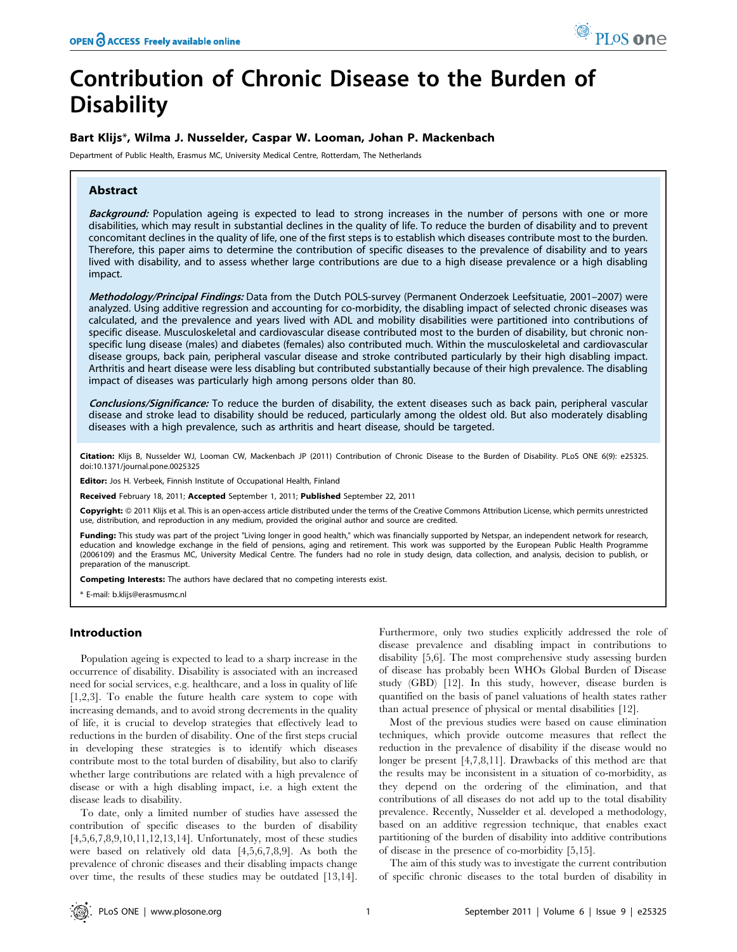# Contribution of Chronic Disease to the Burden of **Disability**

# Bart Klijs\*, Wilma J. Nusselder, Caspar W. Looman, Johan P. Mackenbach

Department of Public Health, Erasmus MC, University Medical Centre, Rotterdam, The Netherlands

## Abstract

Background: Population ageing is expected to lead to strong increases in the number of persons with one or more disabilities, which may result in substantial declines in the quality of life. To reduce the burden of disability and to prevent concomitant declines in the quality of life, one of the first steps is to establish which diseases contribute most to the burden. Therefore, this paper aims to determine the contribution of specific diseases to the prevalence of disability and to years lived with disability, and to assess whether large contributions are due to a high disease prevalence or a high disabling impact.

Methodology/Principal Findings: Data from the Dutch POLS-survey (Permanent Onderzoek Leefsituatie, 2001–2007) were analyzed. Using additive regression and accounting for co-morbidity, the disabling impact of selected chronic diseases was calculated, and the prevalence and years lived with ADL and mobility disabilities were partitioned into contributions of specific disease. Musculoskeletal and cardiovascular disease contributed most to the burden of disability, but chronic nonspecific lung disease (males) and diabetes (females) also contributed much. Within the musculoskeletal and cardiovascular disease groups, back pain, peripheral vascular disease and stroke contributed particularly by their high disabling impact. Arthritis and heart disease were less disabling but contributed substantially because of their high prevalence. The disabling impact of diseases was particularly high among persons older than 80.

Conclusions/Significance: To reduce the burden of disability, the extent diseases such as back pain, peripheral vascular disease and stroke lead to disability should be reduced, particularly among the oldest old. But also moderately disabling diseases with a high prevalence, such as arthritis and heart disease, should be targeted.

Citation: Klijs B, Nusselder WJ, Looman CW, Mackenbach JP (2011) Contribution of Chronic Disease to the Burden of Disability. PLoS ONE 6(9): e25325. doi:10.1371/journal.pone.0025325

Editor: Jos H. Verbeek, Finnish Institute of Occupational Health, Finland

Received February 18, 2011; Accepted September 1, 2011; Published September 22, 2011

Copyright: © 2011 Klijs et al. This is an open-access article distributed under the terms of the Creative Commons Attribution License, which permits unrestricted use, distribution, and reproduction in any medium, provided the original author and source are credited.

Funding: This study was part of the project "Living longer in good health," which was financially supported by Netspar, an independent network for research, education and knowledge exchange in the field of pensions, aging and retirement. This work was supported by the European Public Health Programme (2006109) and the Erasmus MC, University Medical Centre. The funders had no role in study design, data collection, and analysis, decision to publish, or preparation of the manuscript.

Competing Interests: The authors have declared that no competing interests exist.

\* E-mail: b.klijs@erasmusmc.nl

## Introduction

Population ageing is expected to lead to a sharp increase in the occurrence of disability. Disability is associated with an increased need for social services, e.g. healthcare, and a loss in quality of life [1,2,3]. To enable the future health care system to cope with increasing demands, and to avoid strong decrements in the quality of life, it is crucial to develop strategies that effectively lead to reductions in the burden of disability. One of the first steps crucial in developing these strategies is to identify which diseases contribute most to the total burden of disability, but also to clarify whether large contributions are related with a high prevalence of disease or with a high disabling impact, i.e. a high extent the disease leads to disability.

To date, only a limited number of studies have assessed the contribution of specific diseases to the burden of disability [4,5,6,7,8,9,10,11,12,13,14]. Unfortunately, most of these studies were based on relatively old data [4,5,6,7,8,9]. As both the prevalence of chronic diseases and their disabling impacts change over time, the results of these studies may be outdated [13,14].

Furthermore, only two studies explicitly addressed the role of disease prevalence and disabling impact in contributions to disability [5,6]. The most comprehensive study assessing burden of disease has probably been WHOs Global Burden of Disease study (GBD) [12]. In this study, however, disease burden is quantified on the basis of panel valuations of health states rather than actual presence of physical or mental disabilities [12].

Most of the previous studies were based on cause elimination techniques, which provide outcome measures that reflect the reduction in the prevalence of disability if the disease would no longer be present [4,7,8,11]. Drawbacks of this method are that the results may be inconsistent in a situation of co-morbidity, as they depend on the ordering of the elimination, and that contributions of all diseases do not add up to the total disability prevalence. Recently, Nusselder et al. developed a methodology, based on an additive regression technique, that enables exact partitioning of the burden of disability into additive contributions of disease in the presence of co-morbidity [5,15].

The aim of this study was to investigate the current contribution of specific chronic diseases to the total burden of disability in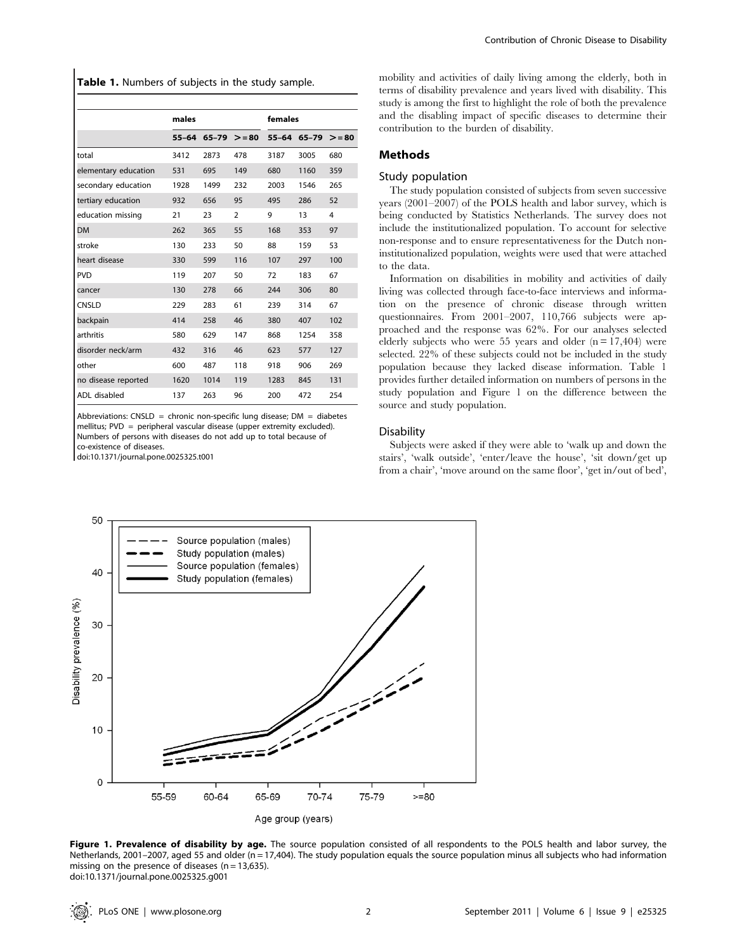Table 1. Numbers of subjects in the study sample.

|                      | males |      |                        | females |                        |     |
|----------------------|-------|------|------------------------|---------|------------------------|-----|
|                      |       |      | $55-64$ 65-79 $> = 80$ |         | $55-64$ 65-79 $> = 80$ |     |
| total                | 3412  | 2873 | 478                    | 3187    | 3005                   | 680 |
| elementary education | 531   | 695  | 149                    | 680     | 1160                   | 359 |
| secondary education  | 1928  | 1499 | 232                    | 2003    | 1546                   | 265 |
| tertiary education   | 932   | 656  | 95                     | 495     | 286                    | 52  |
| education missing    | 21    | 23   | 2                      | 9       | 13                     | 4   |
| <b>DM</b>            | 262   | 365  | 55                     | 168     | 353                    | 97  |
| stroke               | 130   | 233  | 50                     | 88      | 159                    | 53  |
| heart disease        | 330   | 599  | 116                    | 107     | 297                    | 100 |
| <b>PVD</b>           | 119   | 207  | 50                     | 72      | 183                    | 67  |
| cancer               | 130   | 278  | 66                     | 244     | 306                    | 80  |
| CNSLD                | 229   | 283  | 61                     | 239     | 314                    | 67  |
| backpain             | 414   | 258  | 46                     | 380     | 407                    | 102 |
| arthritis            | 580   | 629  | 147                    | 868     | 1254                   | 358 |
| disorder neck/arm    | 432   | 316  | 46                     | 623     | 577                    | 127 |
| other                | 600   | 487  | 118                    | 918     | 906                    | 269 |
| no disease reported  | 1620  | 1014 | 119                    | 1283    | 845                    | 131 |
| ADL disabled         | 137   | 263  | 96                     | 200     | 472                    | 254 |

Abbreviations: CNSLD = chronic non-specific lung disease;  $DM =$  diabetes mellitus; PVD = peripheral vascular disease (upper extremity excluded). Numbers of persons with diseases do not add up to total because of co-existence of diseases.

doi:10.1371/journal.pone.0025325.t001

mobility and activities of daily living among the elderly, both in terms of disability prevalence and years lived with disability. This study is among the first to highlight the role of both the prevalence and the disabling impact of specific diseases to determine their contribution to the burden of disability.

### Methods

#### Study population

The study population consisted of subjects from seven successive years (2001–2007) of the POLS health and labor survey, which is being conducted by Statistics Netherlands. The survey does not include the institutionalized population. To account for selective non-response and to ensure representativeness for the Dutch noninstitutionalized population, weights were used that were attached to the data.

Information on disabilities in mobility and activities of daily living was collected through face-to-face interviews and information on the presence of chronic disease through written questionnaires. From 2001–2007, 110,766 subjects were approached and the response was 62%. For our analyses selected elderly subjects who were 55 years and older  $(n = 17,404)$  were selected. 22% of these subjects could not be included in the study population because they lacked disease information. Table 1 provides further detailed information on numbers of persons in the study population and Figure 1 on the difference between the source and study population.

### **Disability**

Subjects were asked if they were able to 'walk up and down the stairs', 'walk outside', 'enter/leave the house', 'sit down/get up from a chair', 'move around on the same floor', 'get in/out of bed',



Figure 1. Prevalence of disability by age. The source population consisted of all respondents to the POLS health and labor survey, the Netherlands, 2001–2007, aged 55 and older (n = 17,404). The study population equals the source population minus all subjects who had information missing on the presence of diseases ( $n = 13,635$ ). doi:10.1371/journal.pone.0025325.g001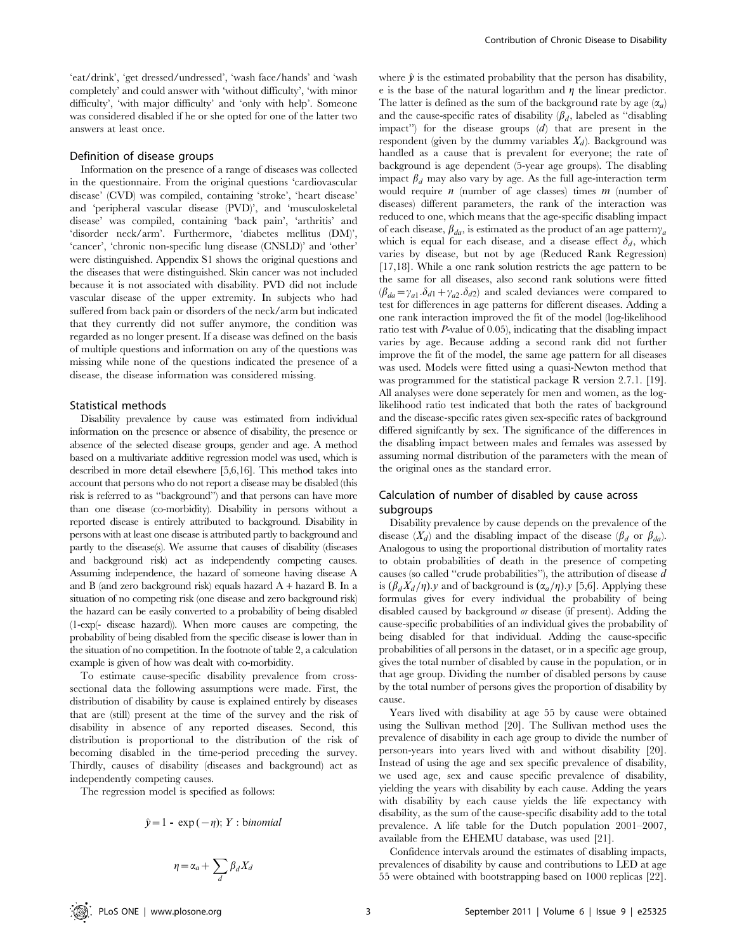'eat/drink', 'get dressed/undressed', 'wash face/hands' and 'wash completely' and could answer with 'without difficulty', 'with minor difficulty', 'with major difficulty' and 'only with help'. Someone was considered disabled if he or she opted for one of the latter two answers at least once.

## Definition of disease groups

Information on the presence of a range of diseases was collected in the questionnaire. From the original questions 'cardiovascular disease' (CVD) was compiled, containing 'stroke', 'heart disease' and 'peripheral vascular disease (PVD)', and 'musculoskeletal disease' was compiled, containing 'back pain', 'arthritis' and 'disorder neck/arm'. Furthermore, 'diabetes mellitus (DM)', 'cancer', 'chronic non-specific lung disease (CNSLD)' and 'other' were distinguished. Appendix S1 shows the original questions and the diseases that were distinguished. Skin cancer was not included because it is not associated with disability. PVD did not include vascular disease of the upper extremity. In subjects who had suffered from back pain or disorders of the neck/arm but indicated that they currently did not suffer anymore, the condition was regarded as no longer present. If a disease was defined on the basis of multiple questions and information on any of the questions was missing while none of the questions indicated the presence of a disease, the disease information was considered missing.

## Statistical methods

Disability prevalence by cause was estimated from individual information on the presence or absence of disability, the presence or absence of the selected disease groups, gender and age. A method based on a multivariate additive regression model was used, which is described in more detail elsewhere [5,6,16]. This method takes into account that persons who do not report a disease may be disabled (this risk is referred to as ''background'') and that persons can have more than one disease (co-morbidity). Disability in persons without a reported disease is entirely attributed to background. Disability in persons with at least one disease is attributed partly to background and partly to the disease(s). We assume that causes of disability (diseases and background risk) act as independently competing causes. Assuming independence, the hazard of someone having disease A and B (and zero background risk) equals hazard  $A +$  hazard B. In a situation of no competing risk (one disease and zero background risk) the hazard can be easily converted to a probability of being disabled (1-exp(- disease hazard)). When more causes are competing, the probability of being disabled from the specific disease is lower than in the situation of no competition. In the footnote of table 2, a calculation example is given of how was dealt with co-morbidity.

To estimate cause-specific disability prevalence from crosssectional data the following assumptions were made. First, the distribution of disability by cause is explained entirely by diseases that are (still) present at the time of the survey and the risk of disability in absence of any reported diseases. Second, this distribution is proportional to the distribution of the risk of becoming disabled in the time-period preceding the survey. Thirdly, causes of disability (diseases and background) act as independently competing causes.

The regression model is specified as follows:

$$
\hat{y}=1-\exp(-\eta); Y: binomial
$$

$$
\eta = \alpha_a + \sum_d \beta_d X_d
$$

where  $\hat{y}$  is the estimated probability that the person has disability, e is the base of the natural logarithm and  $\eta$  the linear predictor. The latter is defined as the sum of the background rate by age  $(\alpha_a)$ and the cause-specific rates of disability  $(\beta_d)$ , labeled as "disabling" impact'') for the disease groups (d) that are present in the respondent (given by the dummy variables  $X_d$ ). Background was handled as a cause that is prevalent for everyone; the rate of background is age dependent (5-year age groups). The disabling impact  $\beta_d$  may also vary by age. As the full age-interaction term would require  $n$  (number of age classes) times  $m$  (number of diseases) different parameters, the rank of the interaction was reduced to one, which means that the age-specific disabling impact of each disease,  $\beta_{da}$ , is estimated as the product of an age pattern $\gamma_a$ which is equal for each disease, and a disease effect  $\delta_d$ , which varies by disease, but not by age (Reduced Rank Regression) [17,18]. While a one rank solution restricts the age pattern to be the same for all diseases, also second rank solutions were fitted  $(\beta_{da} = \gamma_{a1} \cdot \delta_{d1} + \gamma_{a2} \cdot \delta_{d2})$  and scaled deviances were compared to test for differences in age patterns for different diseases. Adding a one rank interaction improved the fit of the model (log-likelihood ratio test with P-value of 0.05), indicating that the disabling impact varies by age. Because adding a second rank did not further improve the fit of the model, the same age pattern for all diseases was used. Models were fitted using a quasi-Newton method that was programmed for the statistical package R version 2.7.1. [19]. All analyses were done seperately for men and women, as the loglikelihood ratio test indicated that both the rates of background and the disease-specific rates given sex-specific rates of background differed signifcantly by sex. The significance of the differences in the disabling impact between males and females was assessed by assuming normal distribution of the parameters with the mean of the original ones as the standard error.

## Calculation of number of disabled by cause across subgroups

Disability prevalence by cause depends on the prevalence of the disease  $(X_d)$  and the disabling impact of the disease  $(\beta_d \text{ or } \beta_{da})$ . Analogous to using the proportional distribution of mortality rates to obtain probabilities of death in the presence of competing causes (so called ''crude probabilities''), the attribution of disease d is  $(\beta_d X_d/\eta)$ .y and of background is  $(\alpha_a/\eta)$ .y [5,6]. Applying these formulas gives for every individual the probability of being disabled caused by background or disease (if present). Adding the cause-specific probabilities of an individual gives the probability of being disabled for that individual. Adding the cause-specific probabilities of all persons in the dataset, or in a specific age group, gives the total number of disabled by cause in the population, or in that age group. Dividing the number of disabled persons by cause by the total number of persons gives the proportion of disability by cause.

Years lived with disability at age 55 by cause were obtained using the Sullivan method [20]. The Sullivan method uses the prevalence of disability in each age group to divide the number of person-years into years lived with and without disability [20]. Instead of using the age and sex specific prevalence of disability, we used age, sex and cause specific prevalence of disability, yielding the years with disability by each cause. Adding the years with disability by each cause yields the life expectancy with disability, as the sum of the cause-specific disability add to the total prevalence. A life table for the Dutch population 2001–2007, available from the EHEMU database, was used [21].

Confidence intervals around the estimates of disabling impacts, prevalences of disability by cause and contributions to LED at age 55 were obtained with bootstrapping based on 1000 replicas [22].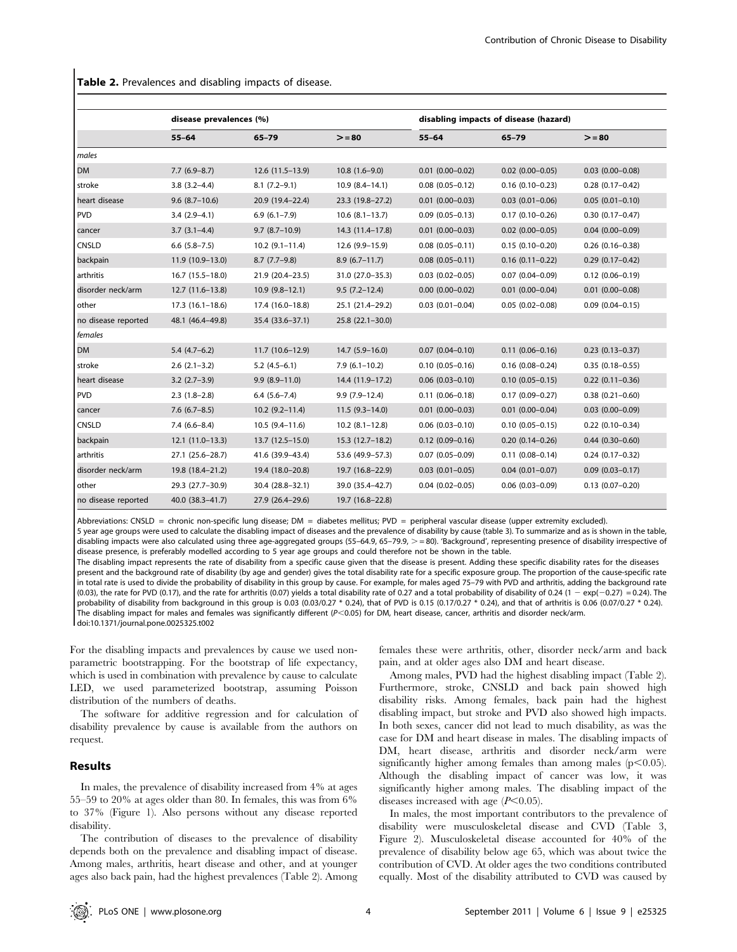Table 2. Prevalences and disabling impacts of disease.

|                     | disease prevalences (%) |                    |                     | disabling impacts of disease (hazard) |                        |                        |  |
|---------------------|-------------------------|--------------------|---------------------|---------------------------------------|------------------------|------------------------|--|
|                     | $55 - 64$               | $65 - 79$          | $>= 80$             | $55 - 64$                             | 65-79                  | $>= 80$                |  |
| <i>males</i>        |                         |                    |                     |                                       |                        |                        |  |
| <b>DM</b>           | $7.7(6.9-8.7)$          | $12.6(11.5-13.9)$  | $10.8(1.6-9.0)$     | $0.01$ $(0.00 - 0.02)$                | $0.02$ (0.00-0.05)     | $0.03$ $(0.00 - 0.08)$ |  |
| stroke              | $3.8(3.2 - 4.4)$        | $8.1(7.2-9.1)$     | $10.9(8.4 - 14.1)$  | $0.08$ $(0.05 - 0.12)$                | $0.16(0.10 - 0.23)$    | $0.28(0.17-0.42)$      |  |
| heart disease       | $9.6(8.7-10.6)$         | 20.9 (19.4-22.4)   | 23.3 (19.8-27.2)    | $0.01$ $(0.00 - 0.03)$                | $0.03$ $(0.01 - 0.06)$ | $0.05(0.01 - 0.10)$    |  |
| PVD                 | $3.4(2.9-4.1)$          | $6.9(6.1 - 7.9)$   | $10.6(8.1-13.7)$    | $0.09(0.05 - 0.13)$                   | $0.17(0.10 - 0.26)$    | $0.30(0.17 - 0.47)$    |  |
| cancer              | $3.7(3.1-4.4)$          | $9.7(8.7-10.9)$    | 14.3 (11.4-17.8)    | $0.01$ (0.00-0.03)                    | $0.02$ (0.00-0.05)     | $0.04(0.00 - 0.09)$    |  |
| <b>CNSLD</b>        | $6.6$ $(5.8 - 7.5)$     | $10.2(9.1-11.4)$   | 12.6 (9.9-15.9)     | $0.08$ $(0.05 - 0.11)$                | $0.15(0.10 - 0.20)$    | $0.26$ $(0.16 - 0.38)$ |  |
| backpain            | 11.9 (10.9-13.0)        | $8.7(7.7-9.8)$     | $8.9(6.7-11.7)$     | $0.08$ $(0.05 - 0.11)$                | $0.16(0.11 - 0.22)$    | $0.29(0.17-0.42)$      |  |
| arthritis           | $16.7(15.5-18.0)$       | 21.9 (20.4-23.5)   | 31.0 (27.0-35.3)    | $0.03$ $(0.02 - 0.05)$                | $0.07(0.04 - 0.09)$    | $0.12(0.06 - 0.19)$    |  |
| disorder neck/arm   | $12.7(11.6-13.8)$       | $10.9(9.8-12.1)$   | $9.5(7.2-12.4)$     | $0.00$ (0.00-0.02)                    | $0.01$ (0.00-0.04)     | $0.01$ $(0.00 - 0.08)$ |  |
| other               | $17.3(16.1-18.6)$       | 17.4 (16.0-18.8)   | 25.1 (21.4-29.2)    | $0.03$ $(0.01 - 0.04)$                | $0.05(0.02 - 0.08)$    | $0.09$ $(0.04 - 0.15)$ |  |
| no disease reported | 48.1 (46.4-49.8)        | 35.4 (33.6-37.1)   | $25.8(22.1 - 30.0)$ |                                       |                        |                        |  |
| females             |                         |                    |                     |                                       |                        |                        |  |
| <b>DM</b>           | $5.4(4.7-6.2)$          | $11.7(10.6-12.9)$  | $14.7(5.9 - 16.0)$  | $0.07$ $(0.04 - 0.10)$                | $0.11(0.06 - 0.16)$    | $0.23(0.13 - 0.37)$    |  |
| stroke              | $2.6(2.1-3.2)$          | $5.2(4.5-6.1)$     | $7.9(6.1-10.2)$     | $0.10(0.05 - 0.16)$                   | $0.16(0.08 - 0.24)$    | $0.35(0.18 - 0.55)$    |  |
| heart disease       | $3.2$ $(2.7-3.9)$       | $9.9(8.9 - 11.0)$  | 14.4 (11.9-17.2)    | $0.06$ $(0.03 - 0.10)$                | $0.10(0.05 - 0.15)$    | $0.22$ (0.11-0.36)     |  |
| PVD                 | $2.3(1.8-2.8)$          | $6.4(5.6 - 7.4)$   | $9.9(7.9-12.4)$     | $0.11(0.06 - 0.18)$                   | $0.17(0.09 - 0.27)$    | $0.38(0.21 - 0.60)$    |  |
| cancer              | $7.6(6.7-8.5)$          | $10.2(9.2 - 11.4)$ | $11.5(9.3-14.0)$    | $0.01$ (0.00-0.03)                    | $0.01$ $(0.00 - 0.04)$ | $0.03$ $(0.00-0.09)$   |  |
| <b>CNSLD</b>        | $7.4(6.6-8.4)$          | $10.5(9.4-11.6)$   | $10.2 (8.1 - 12.8)$ | $0.06$ $(0.03 - 0.10)$                | $0.10(0.05 - 0.15)$    | $0.22(0.10-0.34)$      |  |
| backpain            | $12.1(11.0-13.3)$       | $13.7(12.5-15.0)$  | $15.3(12.7-18.2)$   | $0.12(0.09 - 0.16)$                   | $0.20(0.14 - 0.26)$    | $0.44(0.30-0.60)$      |  |
| arthritis           | 27.1 (25.6-28.7)        | 41.6 (39.9-43.4)   | 53.6 (49.9-57.3)    | $0.07(0.05 - 0.09)$                   | $0.11(0.08 - 0.14)$    | $0.24(0.17-0.32)$      |  |
| disorder neck/arm   | 19.8 (18.4-21.2)        | 19.4 (18.0-20.8)   | 19.7 (16.8-22.9)    | $0.03(0.01 - 0.05)$                   | $0.04$ (0.01-0.07)     | $0.09$ $(0.03 - 0.17)$ |  |
| other               | 29.3 (27.7-30.9)        | 30.4 (28.8-32.1)   | 39.0 (35.4-42.7)    | $0.04$ $(0.02 - 0.05)$                | $0.06$ $(0.03 - 0.09)$ | $0.13(0.07-0.20)$      |  |
| no disease reported | 40.0 (38.3-41.7)        | 27.9 (26.4-29.6)   | 19.7 (16.8-22.8)    |                                       |                        |                        |  |

Abbreviations: CNSLD = chronic non-specific lung disease; DM = diabetes mellitus; PVD = peripheral vascular disease (upper extremity excluded).

5 year age groups were used to calculate the disabling impact of diseases and the prevalence of disability by cause (table 3). To summarize and as is shown in the table, disabling impacts were also calculated using three age-aggregated groups (55-64.9, 65-79.9, > = 80). 'Background', representing presence of disability irrespective of disease presence, is preferably modelled according to 5 year age groups and could therefore not be shown in the table.

The disabling impact represents the rate of disability from a specific cause given that the disease is present. Adding these specific disability rates for the diseases present and the background rate of disability (by age and gender) gives the total disability rate for a specific exposure group. The proportion of the cause-specific rate in total rate is used to divide the probability of disability in this group by cause. For example, for males aged 75–79 with PVD and arthritis, adding the background rate (0.03), the rate for PVD (0.17), and the rate for arthritis (0.07) yields a total disability rate of 0.27 and a total probability of disability of 0.24 (1 - exp(-0.27) = 0.24). The probability of disability from background in this group is 0.03 (0.03/0.27 \* 0.24), that of PVD is 0.15 (0.17/0.27 \* 0.24), and that of arthritis is 0.06 (0.07/0.27 \* 0.24). The disabling impact for males and females was significantly different ( $P<0.05$ ) for DM, heart disease, cancer, arthritis and disorder neck/arm. doi:10.1371/journal.pone.0025325.t002

For the disabling impacts and prevalences by cause we used nonparametric bootstrapping. For the bootstrap of life expectancy, which is used in combination with prevalence by cause to calculate LED, we used parameterized bootstrap, assuming Poisson distribution of the numbers of deaths.

The software for additive regression and for calculation of disability prevalence by cause is available from the authors on request.

## Results

In males, the prevalence of disability increased from 4% at ages 55–59 to 20% at ages older than 80. In females, this was from 6% to 37% (Figure 1). Also persons without any disease reported disability.

The contribution of diseases to the prevalence of disability depends both on the prevalence and disabling impact of disease. Among males, arthritis, heart disease and other, and at younger ages also back pain, had the highest prevalences (Table 2). Among females these were arthritis, other, disorder neck/arm and back pain, and at older ages also DM and heart disease.

Among males, PVD had the highest disabling impact (Table 2). Furthermore, stroke, CNSLD and back pain showed high disability risks. Among females, back pain had the highest disabling impact, but stroke and PVD also showed high impacts. In both sexes, cancer did not lead to much disability, as was the case for DM and heart disease in males. The disabling impacts of DM, heart disease, arthritis and disorder neck/arm were significantly higher among females than among males  $(p<0.05)$ . Although the disabling impact of cancer was low, it was significantly higher among males. The disabling impact of the diseases increased with age  $(P<0.05)$ .

In males, the most important contributors to the prevalence of disability were musculoskeletal disease and CVD (Table 3, Figure 2). Musculoskeletal disease accounted for 40% of the prevalence of disability below age 65, which was about twice the contribution of CVD. At older ages the two conditions contributed equally. Most of the disability attributed to CVD was caused by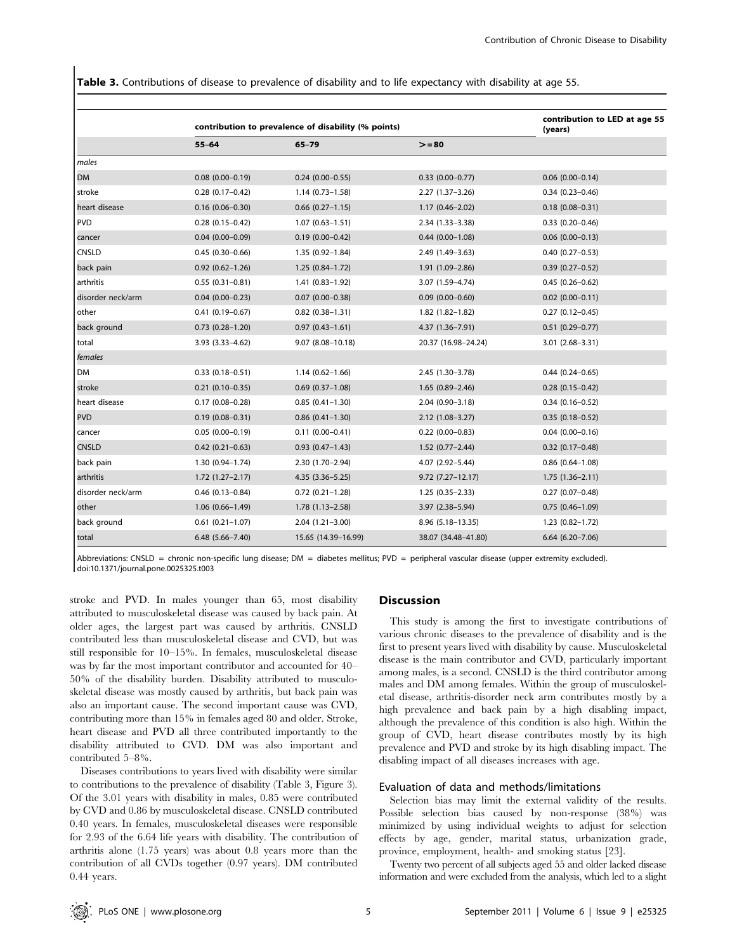Table 3. Contributions of disease to prevalence of disability and to life expectancy with disability at age 55.

|                   | contribution to prevalence of disability (% points) | contribution to LED at age 55<br>(years) |                      |                        |
|-------------------|-----------------------------------------------------|------------------------------------------|----------------------|------------------------|
|                   | $55 - 64$                                           | $65 - 79$                                | $>= 80$              |                        |
| males             |                                                     |                                          |                      |                        |
| <b>DM</b>         | $0.08$ $(0.00 - 0.19)$                              | $0.24(0.00 - 0.55)$                      | $0.33$ $(0.00-0.77)$ | $0.06$ $(0.00-0.14)$   |
| stroke            | $0.28(0.17-0.42)$                                   | $1.14(0.73 - 1.58)$                      | 2.27 (1.37-3.26)     | $0.34(0.23 - 0.46)$    |
| heart disease     | $0.16(0.06 - 0.30)$                                 | $0.66$ $(0.27-1.15)$                     | $1.17(0.46 - 2.02)$  | $0.18(0.08 - 0.31)$    |
| PVD               | $0.28(0.15 - 0.42)$                                 | $1.07(0.63 - 1.51)$                      | 2.34 (1.33-3.38)     | $0.33$ $(0.20 - 0.46)$ |
| cancer            | $0.04(0.00 - 0.09)$                                 | $0.19(0.00 - 0.42)$                      | $0.44(0.00-1.08)$    | $0.06$ $(0.00-0.13)$   |
| <b>CNSLD</b>      | $0.45(0.30-0.66)$                                   | 1.35 (0.92-1.84)                         | 2.49 (1.49-3.63)     | $0.40$ $(0.27 - 0.53)$ |
| back pain         | $0.92(0.62 - 1.26)$                                 | $1.25(0.84 - 1.72)$                      | 1.91 (1.09-2.86)     | $0.39(0.27 - 0.52)$    |
| arthritis         | $0.55(0.31 - 0.81)$                                 | $1.41(0.83 - 1.92)$                      | 3.07 (1.59-4.74)     | $0.45(0.26 - 0.62)$    |
| disorder neck/arm | $0.04(0.00 - 0.23)$                                 | $0.07(0.00 - 0.38)$                      | $0.09$ (0.00-0.60)   | $0.02$ (0.00-0.11)     |
| other             | $0.41(0.19 - 0.67)$                                 | $0.82$ (0.38-1.31)                       | 1.82 (1.82-1.82)     | $0.27(0.12 - 0.45)$    |
| back ground       | $0.73$ $(0.28 - 1.20)$                              | $0.97(0.43 - 1.61)$                      | 4.37 (1.36-7.91)     | $0.51$ $(0.29 - 0.77)$ |
| total             | $3.93(3.33 - 4.62)$                                 | 9.07 (8.08-10.18)                        | 20.37 (16.98-24.24)  | 3.01 (2.68-3.31)       |
| females           |                                                     |                                          |                      |                        |
| l DM              | $0.33(0.18 - 0.51)$                                 | $1.14(0.62 - 1.66)$                      | 2.45 (1.30-3.78)     | $0.44(0.24 - 0.65)$    |
| stroke            | $0.21(0.10 - 0.35)$                                 | $0.69$ $(0.37-1.08)$                     | $1.65(0.89 - 2.46)$  | $0.28(0.15 - 0.42)$    |
| heart disease     | $0.17(0.08 - 0.28)$                                 | $0.85(0.41 - 1.30)$                      | 2.04 (0.90-3.18)     | $0.34(0.16 - 0.52)$    |
| <b>PVD</b>        | $0.19(0.08 - 0.31)$                                 | $0.86$ $(0.41-1.30)$                     | 2.12 (1.08-3.27)     | $0.35(0.18 - 0.52)$    |
| cancer            | $0.05(0.00 - 0.19)$                                 | $0.11(0.00 - 0.41)$                      | $0.22$ (0.00-0.83)   | $0.04$ (0.00-0.16)     |
| <b>CNSLD</b>      | $0.42(0.21 - 0.63)$                                 | $0.93(0.47 - 1.43)$                      | $1.52(0.77 - 2.44)$  | $0.32$ (0.17-0.48)     |
| back pain         | $1.30(0.94 - 1.74)$                                 | 2.30 (1.70-2.94)                         | 4.07 (2.92-5.44)     | $0.86$ $(0.64 - 1.08)$ |
| arthritis         | $1.72(1.27 - 2.17)$                                 | 4.35 (3.36-5.25)                         | $9.72(7.27 - 12.17)$ | $1.75(1.36 - 2.11)$    |
| disorder neck/arm | $0.46$ (0.13-0.84)                                  | $0.72$ $(0.21 - 1.28)$                   | $1.25(0.35 - 2.33)$  | $0.27(0.07 - 0.48)$    |
| other             | $1.06(0.66 - 1.49)$                                 | $1.78(1.13 - 2.58)$                      | 3.97 (2.38-5.94)     | $0.75(0.46 - 1.09)$    |
| back ground       | $0.61(0.21 - 1.07)$                                 | $2.04(1.21 - 3.00)$                      | 8.96 (5.18-13.35)    | $1.23(0.82 - 1.72)$    |
| total             | $6.48(5.66 - 7.40)$                                 | 15.65 (14.39-16.99)                      | 38.07 (34.48-41.80)  | $6.64(6.20 - 7.06)$    |

Abbreviations: CNSLD = chronic non-specific lung disease; DM = diabetes mellitus; PVD = peripheral vascular disease (upper extremity excluded). doi:10.1371/journal.pone.0025325.t003

stroke and PVD. In males younger than 65, most disability attributed to musculoskeletal disease was caused by back pain. At older ages, the largest part was caused by arthritis. CNSLD contributed less than musculoskeletal disease and CVD, but was still responsible for 10–15%. In females, musculoskeletal disease was by far the most important contributor and accounted for 40– 50% of the disability burden. Disability attributed to musculoskeletal disease was mostly caused by arthritis, but back pain was also an important cause. The second important cause was CVD, contributing more than 15% in females aged 80 and older. Stroke, heart disease and PVD all three contributed importantly to the disability attributed to CVD. DM was also important and contributed 5–8%.

Diseases contributions to years lived with disability were similar to contributions to the prevalence of disability (Table 3, Figure 3). Of the 3.01 years with disability in males, 0.85 were contributed by CVD and 0.86 by musculoskeletal disease. CNSLD contributed 0.40 years. In females, musculoskeletal diseases were responsible for 2.93 of the 6.64 life years with disability. The contribution of arthritis alone (1.75 years) was about 0.8 years more than the contribution of all CVDs together (0.97 years). DM contributed 0.44 years.

#### **Discussion**

This study is among the first to investigate contributions of various chronic diseases to the prevalence of disability and is the first to present years lived with disability by cause. Musculoskeletal disease is the main contributor and CVD, particularly important among males, is a second. CNSLD is the third contributor among males and DM among females. Within the group of musculoskeletal disease, arthritis-disorder neck arm contributes mostly by a high prevalence and back pain by a high disabling impact, although the prevalence of this condition is also high. Within the group of CVD, heart disease contributes mostly by its high prevalence and PVD and stroke by its high disabling impact. The disabling impact of all diseases increases with age.

## Evaluation of data and methods/limitations

Selection bias may limit the external validity of the results. Possible selection bias caused by non-response (38%) was minimized by using individual weights to adjust for selection effects by age, gender, marital status, urbanization grade, province, employment, health- and smoking status [23].

Twenty two percent of all subjects aged 55 and older lacked disease information and were excluded from the analysis, which led to a slight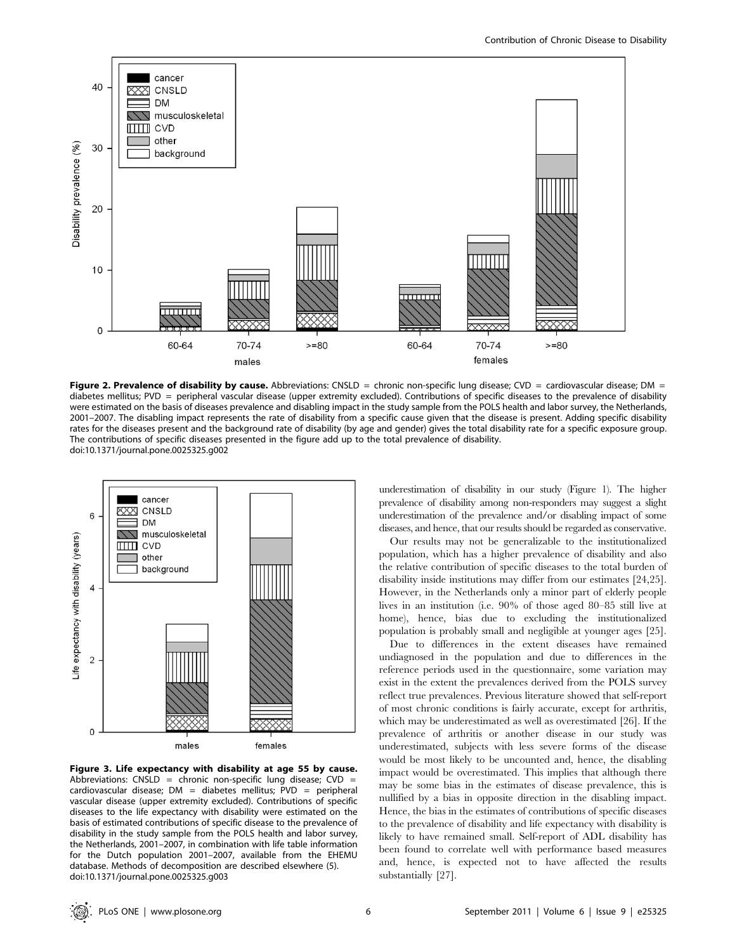

Figure 2. Prevalence of disability by cause. Abbreviations: CNSLD = chronic non-specific lung disease; CVD = cardiovascular disease; DM = diabetes mellitus; PVD = peripheral vascular disease (upper extremity excluded). Contributions of specific diseases to the prevalence of disability were estimated on the basis of diseases prevalence and disabling impact in the study sample from the POLS health and labor survey, the Netherlands, 2001–2007. The disabling impact represents the rate of disability from a specific cause given that the disease is present. Adding specific disability rates for the diseases present and the background rate of disability (by age and gender) gives the total disability rate for a specific exposure group. The contributions of specific diseases presented in the figure add up to the total prevalence of disability. doi:10.1371/journal.pone.0025325.g002



Figure 3. Life expectancy with disability at age 55 by cause. Abbreviations: CNSLD = chronic non-specific lung disease;  $CVD =$ cardiovascular disease;  $DM =$  diabetes mellitus;  $PVD =$  peripheral vascular disease (upper extremity excluded). Contributions of specific diseases to the life expectancy with disability were estimated on the basis of estimated contributions of specific disease to the prevalence of disability in the study sample from the POLS health and labor survey, the Netherlands, 2001–2007, in combination with life table information for the Dutch population 2001–2007, available from the EHEMU database. Methods of decomposition are described elsewhere (5). doi:10.1371/journal.pone.0025325.g003

underestimation of disability in our study (Figure 1). The higher prevalence of disability among non-responders may suggest a slight underestimation of the prevalence and/or disabling impact of some diseases, and hence, that our results should be regarded as conservative.

Our results may not be generalizable to the institutionalized population, which has a higher prevalence of disability and also the relative contribution of specific diseases to the total burden of disability inside institutions may differ from our estimates [24,25]. However, in the Netherlands only a minor part of elderly people lives in an institution (i.e. 90% of those aged 80–85 still live at home), hence, bias due to excluding the institutionalized population is probably small and negligible at younger ages [25].

Due to differences in the extent diseases have remained undiagnosed in the population and due to differences in the reference periods used in the questionnaire, some variation may exist in the extent the prevalences derived from the POLS survey reflect true prevalences. Previous literature showed that self-report of most chronic conditions is fairly accurate, except for arthritis, which may be underestimated as well as overestimated [26]. If the prevalence of arthritis or another disease in our study was underestimated, subjects with less severe forms of the disease would be most likely to be uncounted and, hence, the disabling impact would be overestimated. This implies that although there may be some bias in the estimates of disease prevalence, this is nullified by a bias in opposite direction in the disabling impact. Hence, the bias in the estimates of contributions of specific diseases to the prevalence of disability and life expectancy with disability is likely to have remained small. Self-report of ADL disability has been found to correlate well with performance based measures and, hence, is expected not to have affected the results substantially [27].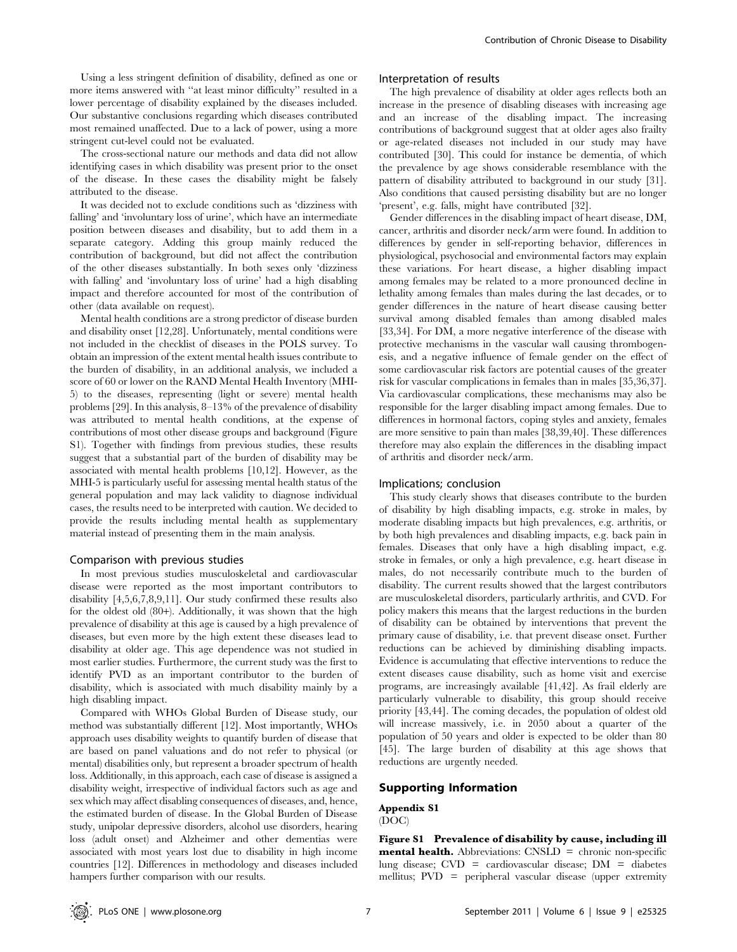Using a less stringent definition of disability, defined as one or more items answered with ''at least minor difficulty'' resulted in a lower percentage of disability explained by the diseases included. Our substantive conclusions regarding which diseases contributed most remained unaffected. Due to a lack of power, using a more stringent cut-level could not be evaluated.

The cross-sectional nature our methods and data did not allow identifying cases in which disability was present prior to the onset of the disease. In these cases the disability might be falsely attributed to the disease.

It was decided not to exclude conditions such as 'dizziness with falling' and 'involuntary loss of urine', which have an intermediate position between diseases and disability, but to add them in a separate category. Adding this group mainly reduced the contribution of background, but did not affect the contribution of the other diseases substantially. In both sexes only 'dizziness with falling' and 'involuntary loss of urine' had a high disabling impact and therefore accounted for most of the contribution of other (data available on request).

Mental health conditions are a strong predictor of disease burden and disability onset [12,28]. Unfortunately, mental conditions were not included in the checklist of diseases in the POLS survey. To obtain an impression of the extent mental health issues contribute to the burden of disability, in an additional analysis, we included a score of 60 or lower on the RAND Mental Health Inventory (MHI-5) to the diseases, representing (light or severe) mental health problems [29]. In this analysis, 8–13% of the prevalence of disability was attributed to mental health conditions, at the expense of contributions of most other disease groups and background (Figure S1). Together with findings from previous studies, these results suggest that a substantial part of the burden of disability may be associated with mental health problems [10,12]. However, as the MHI-5 is particularly useful for assessing mental health status of the general population and may lack validity to diagnose individual cases, the results need to be interpreted with caution. We decided to provide the results including mental health as supplementary material instead of presenting them in the main analysis.

#### Comparison with previous studies

In most previous studies musculoskeletal and cardiovascular disease were reported as the most important contributors to disability [4,5,6,7,8,9,11]. Our study confirmed these results also for the oldest old (80+). Additionally, it was shown that the high prevalence of disability at this age is caused by a high prevalence of diseases, but even more by the high extent these diseases lead to disability at older age. This age dependence was not studied in most earlier studies. Furthermore, the current study was the first to identify PVD as an important contributor to the burden of disability, which is associated with much disability mainly by a high disabling impact.

Compared with WHOs Global Burden of Disease study, our method was substantially different [12]. Most importantly, WHOs approach uses disability weights to quantify burden of disease that are based on panel valuations and do not refer to physical (or mental) disabilities only, but represent a broader spectrum of health loss. Additionally, in this approach, each case of disease is assigned a disability weight, irrespective of individual factors such as age and sex which may affect disabling consequences of diseases, and, hence, the estimated burden of disease. In the Global Burden of Disease study, unipolar depressive disorders, alcohol use disorders, hearing loss (adult onset) and Alzheimer and other dementias were associated with most years lost due to disability in high income countries [12]. Differences in methodology and diseases included hampers further comparison with our results.

#### Interpretation of results

The high prevalence of disability at older ages reflects both an increase in the presence of disabling diseases with increasing age and an increase of the disabling impact. The increasing contributions of background suggest that at older ages also frailty or age-related diseases not included in our study may have contributed [30]. This could for instance be dementia, of which the prevalence by age shows considerable resemblance with the pattern of disability attributed to background in our study [31]. Also conditions that caused persisting disability but are no longer 'present', e.g. falls, might have contributed [32].

Gender differences in the disabling impact of heart disease, DM, cancer, arthritis and disorder neck/arm were found. In addition to differences by gender in self-reporting behavior, differences in physiological, psychosocial and environmental factors may explain these variations. For heart disease, a higher disabling impact among females may be related to a more pronounced decline in lethality among females than males during the last decades, or to gender differences in the nature of heart disease causing better survival among disabled females than among disabled males [33,34]. For DM, a more negative interference of the disease with protective mechanisms in the vascular wall causing thrombogenesis, and a negative influence of female gender on the effect of some cardiovascular risk factors are potential causes of the greater risk for vascular complications in females than in males [35,36,37]. Via cardiovascular complications, these mechanisms may also be responsible for the larger disabling impact among females. Due to differences in hormonal factors, coping styles and anxiety, females are more sensitive to pain than males [38,39,40]. These differences therefore may also explain the differences in the disabling impact of arthritis and disorder neck/arm.

#### Implications; conclusion

This study clearly shows that diseases contribute to the burden of disability by high disabling impacts, e.g. stroke in males, by moderate disabling impacts but high prevalences, e.g. arthritis, or by both high prevalences and disabling impacts, e.g. back pain in females. Diseases that only have a high disabling impact, e.g. stroke in females, or only a high prevalence, e.g. heart disease in males, do not necessarily contribute much to the burden of disability. The current results showed that the largest contributors are musculoskeletal disorders, particularly arthritis, and CVD. For policy makers this means that the largest reductions in the burden of disability can be obtained by interventions that prevent the primary cause of disability, i.e. that prevent disease onset. Further reductions can be achieved by diminishing disabling impacts. Evidence is accumulating that effective interventions to reduce the extent diseases cause disability, such as home visit and exercise programs, are increasingly available [41,42]. As frail elderly are particularly vulnerable to disability, this group should receive priority [43,44]. The coming decades, the population of oldest old will increase massively, i.e. in 2050 about a quarter of the population of 50 years and older is expected to be older than 80 [45]. The large burden of disability at this age shows that reductions are urgently needed.

#### Supporting Information

#### Appendix S1

(DOC)

Figure S1 Prevalence of disability by cause, including ill mental health. Abbreviations: CNSLD = chronic non-specific lung disease; CVD = cardiovascular disease; DM = diabetes mellitus; PVD = peripheral vascular disease (upper extremity